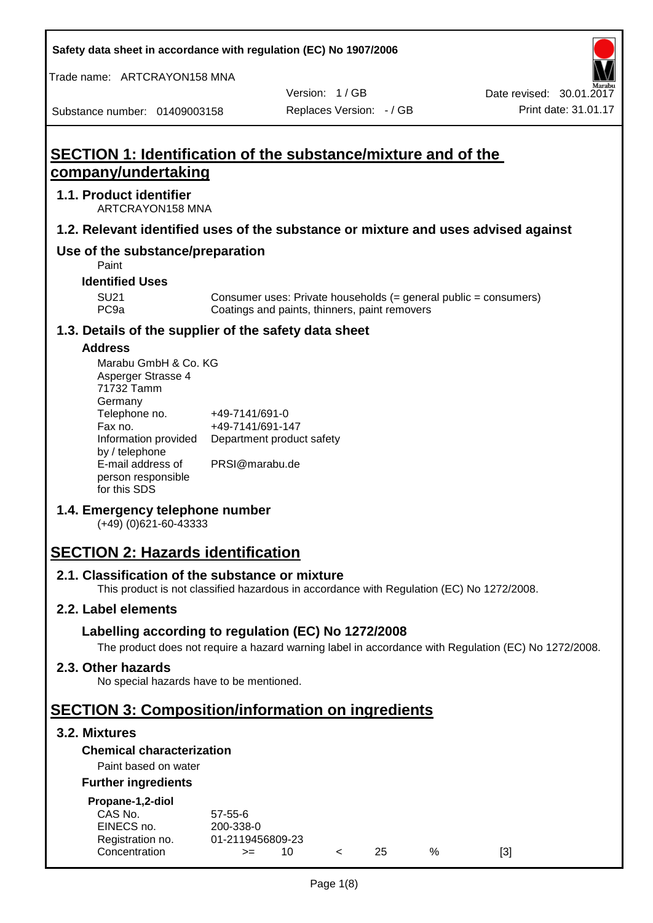**Safety data sheet in accordance with regulation (EC) No 1907/2006**

Trade name: ARTCRAYON158 MNA

Version: 1 / GB

Substance number: 01409003158

# **SECTION 1: Identification of the substance/mixture and of the company/undertaking**

### **1.1. Product identifier**

ARTCRAYON158 MNA

## **1.2. Relevant identified uses of the substance or mixture and uses advised against**

## **Use of the substance/preparation**

Paint

### **Identified Uses**

SU21 Consumer uses: Private households (= general public = consumers)<br>PC9a Coatings and paints, thinners, paint removers Coatings and paints, thinners, paint removers

#### **1.3. Details of the supplier of the safety data sheet**

#### **Address**

| Marabu GmbH & Co. KG |                           |
|----------------------|---------------------------|
| Asperger Strasse 4   |                           |
| 71732 Tamm           |                           |
| Germany              |                           |
| Telephone no.        | +49-7141/691-0            |
| Fax no.              | +49-7141/691-147          |
| Information provided | Department product safety |
| by / telephone       |                           |
| E-mail address of    | PRSI@marabu.de            |
| person responsible   |                           |
| for this SDS         |                           |

## **1.4. Emergency telephone number**

(+49) (0)621-60-43333

## **SECTION 2: Hazards identification**

#### **2.1. Classification of the substance or mixture**

This product is not classified hazardous in accordance with Regulation (EC) No 1272/2008.

## **2.2. Label elements**

## **Labelling according to regulation (EC) No 1272/2008**

The product does not require a hazard warning label in accordance with Regulation (EC) No 1272/2008.

#### **2.3. Other hazards**

No special hazards have to be mentioned.

## **SECTION 3: Composition/information on ingredients**

## **3.2. Mixtures**

## **Chemical characterization**

## Paint based on water

#### **Further ingredients**

| Propane-1,2-diol |  |
|------------------|--|
|                  |  |

| CAS No.          | $57 - 55 - 6$    |  |     |   |     |
|------------------|------------------|--|-----|---|-----|
| EINECS no.       | 200-338-0        |  |     |   |     |
| Registration no. | 01-2119456809-23 |  |     |   |     |
| Concentration    | $>=$             |  | 25. | % | [3] |
|                  |                  |  |     |   |     |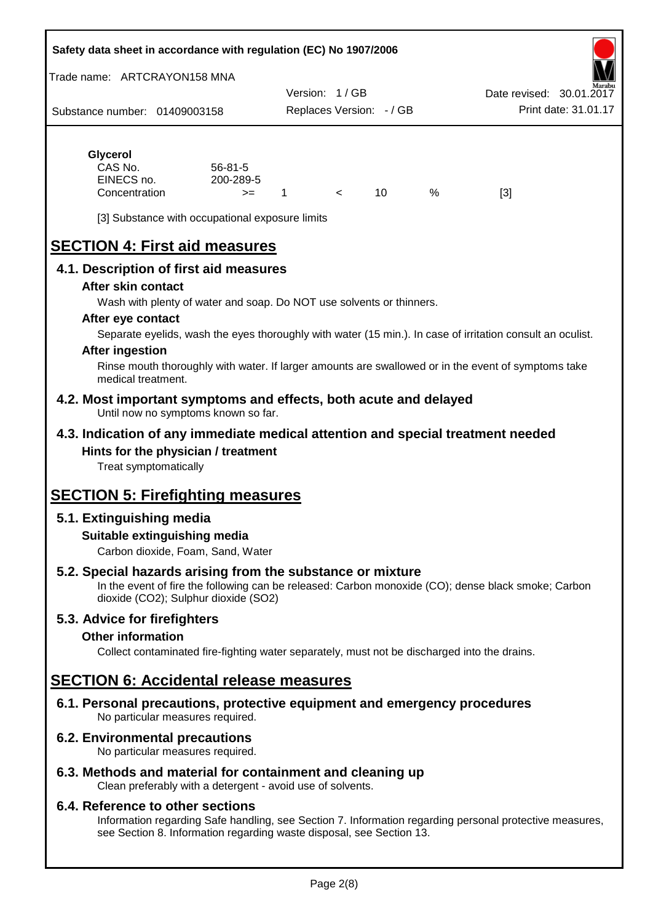#### **Safety data sheet in accordance with regulation (EC) No 1907/2006**

Trade name: ARTCRAYON158 MNA

Substance number: 01409003158 Version: 1 / GB Replaces Version: - / GB Print date: 31.01.17 Date revised: 30.01.2

## **Glycerol** CAS No. 56-81-5

| CAS No.       | $56 - 81 - 5$ |  |   |     |
|---------------|---------------|--|---|-----|
| EINECS no.    | 200-289-5     |  |   |     |
| Concentration | $>=$          |  | % | [3] |

[3] Substance with occupational exposure limits

# **SECTION 4: First aid measures**

## **4.1. Description of first aid measures**

#### **After skin contact**

Wash with plenty of water and soap. Do NOT use solvents or thinners.

#### **After eye contact**

Separate eyelids, wash the eyes thoroughly with water (15 min.). In case of irritation consult an oculist.

#### **After ingestion**

Rinse mouth thoroughly with water. If larger amounts are swallowed or in the event of symptoms take medical treatment.

#### **4.2. Most important symptoms and effects, both acute and delayed** Until now no symptoms known so far.

## **4.3. Indication of any immediate medical attention and special treatment needed Hints for the physician / treatment**

Treat symptomatically

## **SECTION 5: Firefighting measures**

## **5.1. Extinguishing media**

#### **Suitable extinguishing media**

Carbon dioxide, Foam, Sand, Water

## **5.2. Special hazards arising from the substance or mixture**

In the event of fire the following can be released: Carbon monoxide (CO); dense black smoke; Carbon dioxide (CO2); Sulphur dioxide (SO2)

#### **5.3. Advice for firefighters**

#### **Other information**

Collect contaminated fire-fighting water separately, must not be discharged into the drains.

## **SECTION 6: Accidental release measures**

**6.1. Personal precautions, protective equipment and emergency procedures** No particular measures required.

#### **6.2. Environmental precautions**

No particular measures required.

## **6.3. Methods and material for containment and cleaning up**

Clean preferably with a detergent - avoid use of solvents.

#### **6.4. Reference to other sections**

Information regarding Safe handling, see Section 7. Information regarding personal protective measures, see Section 8. Information regarding waste disposal, see Section 13.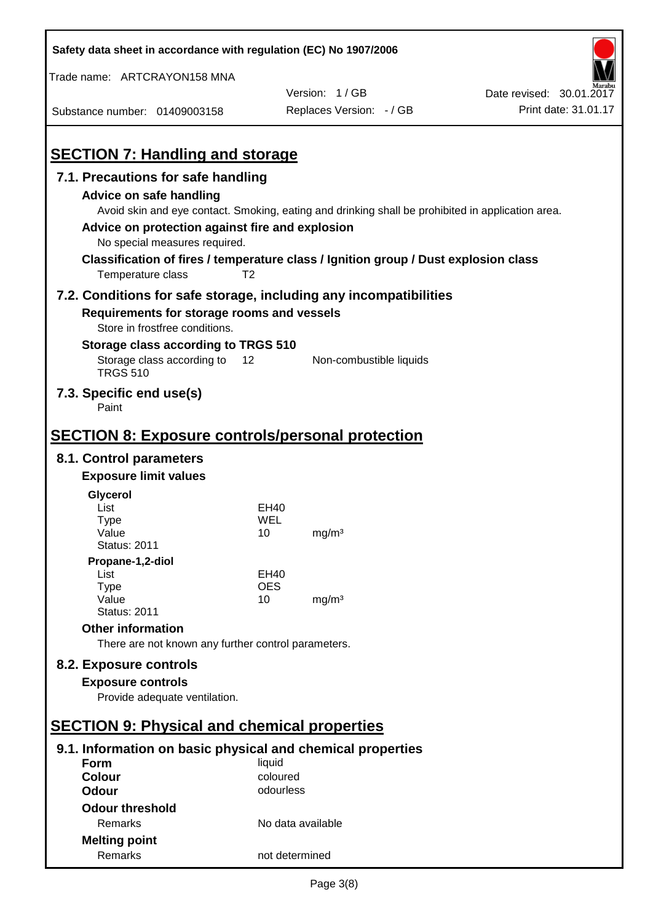| Safety data sheet in accordance with regulation (EC) No 1907/2006                                                                                                                                                                                                                                                                              |                       |                          |                          |
|------------------------------------------------------------------------------------------------------------------------------------------------------------------------------------------------------------------------------------------------------------------------------------------------------------------------------------------------|-----------------------|--------------------------|--------------------------|
| Trade name: ARTCRAYON158 MNA                                                                                                                                                                                                                                                                                                                   |                       |                          |                          |
|                                                                                                                                                                                                                                                                                                                                                |                       | Version: 1/GB            | Date revised: 30.01.2017 |
| Substance number: 01409003158                                                                                                                                                                                                                                                                                                                  |                       | Replaces Version: - / GB | Print date: 31.01.17     |
| <b>SECTION 7: Handling and storage</b>                                                                                                                                                                                                                                                                                                         |                       |                          |                          |
| 7.1. Precautions for safe handling                                                                                                                                                                                                                                                                                                             |                       |                          |                          |
| Advice on safe handling<br>Avoid skin and eye contact. Smoking, eating and drinking shall be prohibited in application area.<br>Advice on protection against fire and explosion<br>No special measures required.<br>Classification of fires / temperature class / Ignition group / Dust explosion class<br>Temperature class<br>T <sub>2</sub> |                       |                          |                          |
|                                                                                                                                                                                                                                                                                                                                                |                       |                          |                          |
| 7.2. Conditions for safe storage, including any incompatibilities<br>Requirements for storage rooms and vessels<br>Store in frostfree conditions.                                                                                                                                                                                              |                       |                          |                          |
| Storage class according to TRGS 510                                                                                                                                                                                                                                                                                                            |                       |                          |                          |
| Storage class according to<br>12<br><b>TRGS 510</b>                                                                                                                                                                                                                                                                                            |                       | Non-combustible liquids  |                          |
| 7.3. Specific end use(s)<br>Paint                                                                                                                                                                                                                                                                                                              |                       |                          |                          |
| <b>SECTION 8: Exposure controls/personal protection</b>                                                                                                                                                                                                                                                                                        |                       |                          |                          |
| 8.1. Control parameters                                                                                                                                                                                                                                                                                                                        |                       |                          |                          |
| <b>Exposure limit values</b>                                                                                                                                                                                                                                                                                                                   |                       |                          |                          |
| Glycerol                                                                                                                                                                                                                                                                                                                                       |                       |                          |                          |
| List                                                                                                                                                                                                                                                                                                                                           | EH40                  |                          |                          |
| Type                                                                                                                                                                                                                                                                                                                                           | WEL                   |                          |                          |
| Value<br><b>Status: 2011</b>                                                                                                                                                                                                                                                                                                                   | 10                    | mg/m <sup>3</sup>        |                          |
| Propane-1,2-diol                                                                                                                                                                                                                                                                                                                               |                       |                          |                          |
| List                                                                                                                                                                                                                                                                                                                                           | EH40                  |                          |                          |
| <b>Type</b>                                                                                                                                                                                                                                                                                                                                    | <b>OES</b>            |                          |                          |
| Value<br><b>Status: 2011</b>                                                                                                                                                                                                                                                                                                                   | 10                    | mg/m <sup>3</sup>        |                          |
| <b>Other information</b>                                                                                                                                                                                                                                                                                                                       |                       |                          |                          |
| There are not known any further control parameters.                                                                                                                                                                                                                                                                                            |                       |                          |                          |
|                                                                                                                                                                                                                                                                                                                                                |                       |                          |                          |
| 8.2. Exposure controls                                                                                                                                                                                                                                                                                                                         |                       |                          |                          |
| <b>Exposure controls</b><br>Provide adequate ventilation.                                                                                                                                                                                                                                                                                      |                       |                          |                          |
|                                                                                                                                                                                                                                                                                                                                                |                       |                          |                          |
| <b>SECTION 9: Physical and chemical properties</b>                                                                                                                                                                                                                                                                                             |                       |                          |                          |
| 9.1. Information on basic physical and chemical properties                                                                                                                                                                                                                                                                                     |                       |                          |                          |
| <b>Form</b>                                                                                                                                                                                                                                                                                                                                    | liquid                |                          |                          |
| <b>Colour</b><br><b>Odour</b>                                                                                                                                                                                                                                                                                                                  | coloured<br>odourless |                          |                          |
| <b>Odour threshold</b>                                                                                                                                                                                                                                                                                                                         |                       |                          |                          |
| Remarks                                                                                                                                                                                                                                                                                                                                        | No data available     |                          |                          |
| <b>Melting point</b>                                                                                                                                                                                                                                                                                                                           |                       |                          |                          |
|                                                                                                                                                                                                                                                                                                                                                |                       |                          |                          |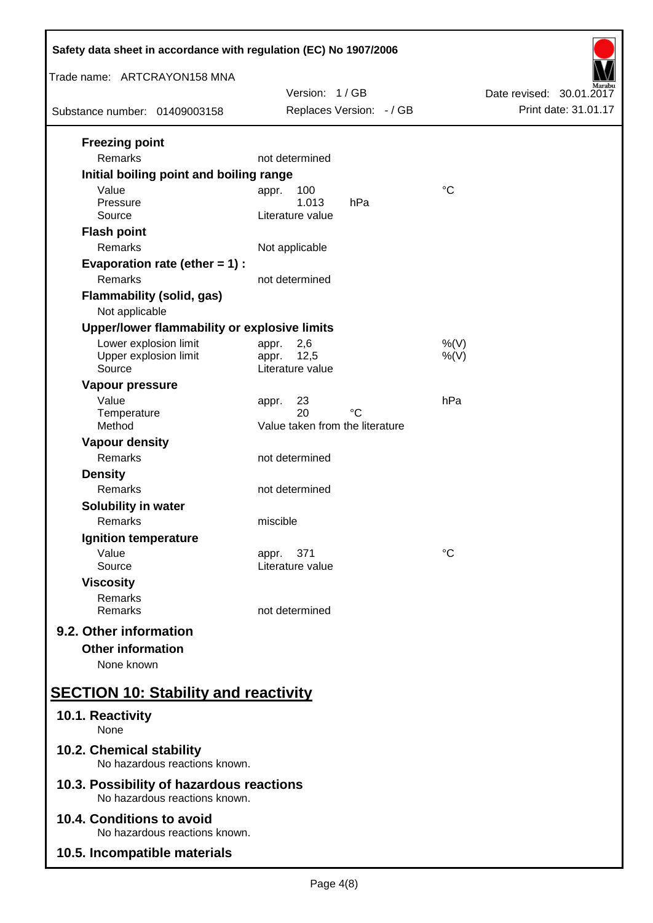| Safety data sheet in accordance with regulation (EC) No 1907/2006         |                                             |                                                  |  |  |
|---------------------------------------------------------------------------|---------------------------------------------|--------------------------------------------------|--|--|
| Trade name: ARTCRAYON158 MNA                                              | Version: 1/GB                               |                                                  |  |  |
| Substance number: 01409003158                                             | Replaces Version: - / GB                    | Date revised: 30.01.2017<br>Print date: 31.01.17 |  |  |
|                                                                           |                                             |                                                  |  |  |
| <b>Freezing point</b>                                                     |                                             |                                                  |  |  |
| Remarks                                                                   | not determined                              |                                                  |  |  |
| Initial boiling point and boiling range<br>Value                          | 100                                         | $\rm ^{\circ}C$                                  |  |  |
| Pressure                                                                  | appr.<br>1.013<br>hPa                       |                                                  |  |  |
| Source                                                                    | Literature value                            |                                                  |  |  |
| <b>Flash point</b>                                                        |                                             |                                                  |  |  |
| Remarks                                                                   | Not applicable                              |                                                  |  |  |
| Evaporation rate (ether $= 1$ ) :                                         |                                             |                                                  |  |  |
| Remarks                                                                   | not determined                              |                                                  |  |  |
| <b>Flammability (solid, gas)</b>                                          |                                             |                                                  |  |  |
| Not applicable                                                            |                                             |                                                  |  |  |
| Upper/lower flammability or explosive limits                              |                                             |                                                  |  |  |
| Lower explosion limit<br>Upper explosion limit                            | 2,6<br>appr.<br>12,5<br>appr.               | $%$ (V)<br>$%$ (V)                               |  |  |
| Source                                                                    | Literature value                            |                                                  |  |  |
| Vapour pressure                                                           |                                             |                                                  |  |  |
| Value                                                                     | 23<br>appr.                                 | hPa                                              |  |  |
| Temperature<br>Method                                                     | 20<br>°C<br>Value taken from the literature |                                                  |  |  |
| <b>Vapour density</b>                                                     |                                             |                                                  |  |  |
| Remarks                                                                   | not determined                              |                                                  |  |  |
| <b>Density</b>                                                            |                                             |                                                  |  |  |
| Remarks                                                                   | not determined                              |                                                  |  |  |
| Solubility in water                                                       |                                             |                                                  |  |  |
| Remarks                                                                   | miscible                                    |                                                  |  |  |
| Ignition temperature                                                      |                                             |                                                  |  |  |
| Value                                                                     | 371<br>appr.                                | °C                                               |  |  |
| Source                                                                    | Literature value                            |                                                  |  |  |
| <b>Viscosity</b>                                                          |                                             |                                                  |  |  |
| Remarks<br>Remarks                                                        | not determined                              |                                                  |  |  |
| 9.2. Other information                                                    |                                             |                                                  |  |  |
|                                                                           |                                             |                                                  |  |  |
| <b>Other information</b><br>None known                                    |                                             |                                                  |  |  |
|                                                                           |                                             |                                                  |  |  |
| <b>SECTION 10: Stability and reactivity</b>                               |                                             |                                                  |  |  |
| 10.1. Reactivity<br>None                                                  |                                             |                                                  |  |  |
| 10.2. Chemical stability<br>No hazardous reactions known.                 |                                             |                                                  |  |  |
| 10.3. Possibility of hazardous reactions<br>No hazardous reactions known. |                                             |                                                  |  |  |
| 10.4. Conditions to avoid<br>No hazardous reactions known.                |                                             |                                                  |  |  |
| 10.5. Incompatible materials                                              |                                             |                                                  |  |  |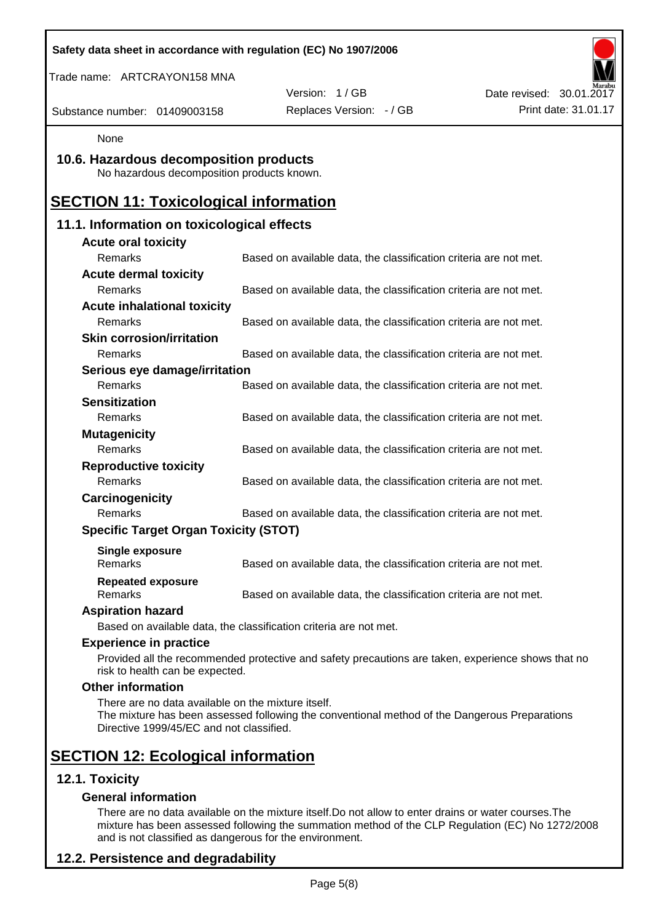|                                                                                                | Safety data sheet in accordance with regulation (EC) No 1907/2006                                  |                          |
|------------------------------------------------------------------------------------------------|----------------------------------------------------------------------------------------------------|--------------------------|
| Trade name: ARTCRAYON158 MNA                                                                   |                                                                                                    |                          |
|                                                                                                | Version: 1/GB                                                                                      | Date revised: 30.01.2017 |
| Substance number: 01409003158                                                                  | Replaces Version: - / GB                                                                           | Print date: 31.01.17     |
| None                                                                                           |                                                                                                    |                          |
| 10.6. Hazardous decomposition products<br>No hazardous decomposition products known.           |                                                                                                    |                          |
| <b>SECTION 11: Toxicological information</b>                                                   |                                                                                                    |                          |
| 11.1. Information on toxicological effects                                                     |                                                                                                    |                          |
| <b>Acute oral toxicity</b>                                                                     |                                                                                                    |                          |
| Remarks                                                                                        | Based on available data, the classification criteria are not met.                                  |                          |
| <b>Acute dermal toxicity</b>                                                                   |                                                                                                    |                          |
| Remarks                                                                                        | Based on available data, the classification criteria are not met.                                  |                          |
| <b>Acute inhalational toxicity</b>                                                             |                                                                                                    |                          |
| Remarks                                                                                        | Based on available data, the classification criteria are not met.                                  |                          |
| <b>Skin corrosion/irritation</b>                                                               |                                                                                                    |                          |
| Remarks                                                                                        | Based on available data, the classification criteria are not met.                                  |                          |
| Serious eye damage/irritation                                                                  |                                                                                                    |                          |
| Remarks                                                                                        | Based on available data, the classification criteria are not met.                                  |                          |
| <b>Sensitization</b>                                                                           |                                                                                                    |                          |
| Remarks                                                                                        | Based on available data, the classification criteria are not met.                                  |                          |
| <b>Mutagenicity</b><br>Remarks                                                                 |                                                                                                    |                          |
| <b>Reproductive toxicity</b>                                                                   | Based on available data, the classification criteria are not met.                                  |                          |
| Remarks                                                                                        | Based on available data, the classification criteria are not met.                                  |                          |
| Carcinogenicity                                                                                |                                                                                                    |                          |
| Remarks                                                                                        | Based on available data, the classification criteria are not met.                                  |                          |
| <b>Specific Target Organ Toxicity (STOT)</b>                                                   |                                                                                                    |                          |
|                                                                                                |                                                                                                    |                          |
| <b>Single exposure</b><br>Remarks                                                              | Based on available data, the classification criteria are not met.                                  |                          |
| <b>Repeated exposure</b><br>Remarks                                                            | Based on available data, the classification criteria are not met.                                  |                          |
| <b>Aspiration hazard</b>                                                                       |                                                                                                    |                          |
|                                                                                                | Based on available data, the classification criteria are not met.                                  |                          |
| <b>Experience in practice</b>                                                                  |                                                                                                    |                          |
| risk to health can be expected.                                                                | Provided all the recommended protective and safety precautions are taken, experience shows that no |                          |
| <b>Other information</b>                                                                       |                                                                                                    |                          |
| There are no data available on the mixture itself.<br>Directive 1999/45/EC and not classified. | The mixture has been assessed following the conventional method of the Dangerous Preparations      |                          |
| <b>SECTION 12: Ecological information</b>                                                      |                                                                                                    |                          |
| 12.1. Toxicity                                                                                 |                                                                                                    |                          |
| <b>General information</b>                                                                     |                                                                                                    |                          |

There are no data available on the mixture itself.Do not allow to enter drains or water courses.The mixture has been assessed following the summation method of the CLP Regulation (EC) No 1272/2008 and is not classified as dangerous for the environment.

## **12.2. Persistence and degradability**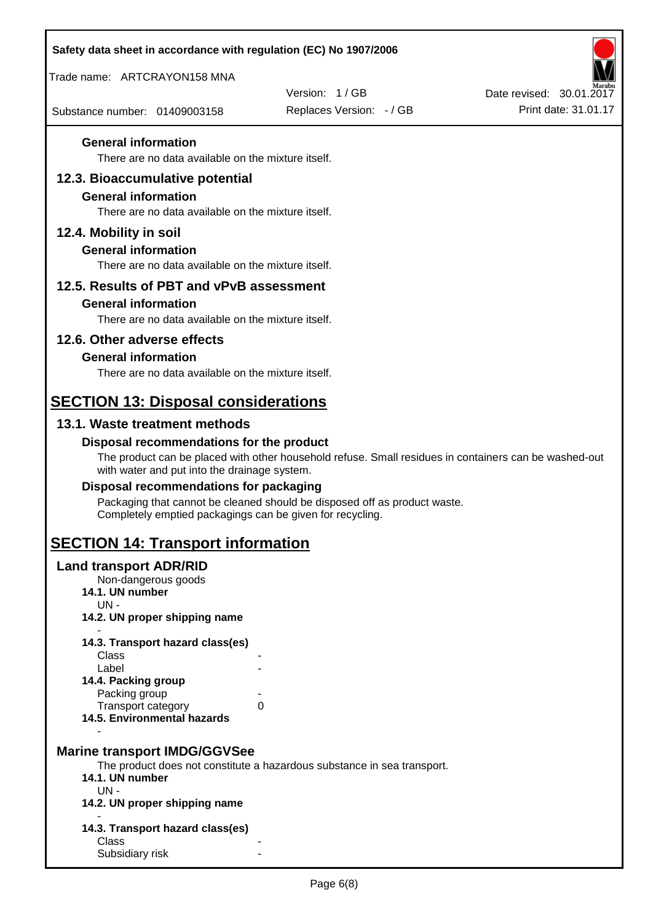| Safety data sheet in accordance with regulation (EC) No 1907/2006                |                                                                                                       |                          |
|----------------------------------------------------------------------------------|-------------------------------------------------------------------------------------------------------|--------------------------|
| Trade name: ARTCRAYON158 MNA                                                     |                                                                                                       |                          |
|                                                                                  | Version: 1/GB                                                                                         | Date revised: 30.01.2017 |
| Substance number: 01409003158                                                    | Replaces Version: - / GB                                                                              | Print date: 31.01.17     |
| <b>General information</b>                                                       |                                                                                                       |                          |
| There are no data available on the mixture itself.                               |                                                                                                       |                          |
| 12.3. Bioaccumulative potential                                                  |                                                                                                       |                          |
| <b>General information</b><br>There are no data available on the mixture itself. |                                                                                                       |                          |
|                                                                                  |                                                                                                       |                          |
| 12.4. Mobility in soil<br><b>General information</b>                             |                                                                                                       |                          |
| There are no data available on the mixture itself.                               |                                                                                                       |                          |
| 12.5. Results of PBT and vPvB assessment                                         |                                                                                                       |                          |
| <b>General information</b>                                                       |                                                                                                       |                          |
| There are no data available on the mixture itself.                               |                                                                                                       |                          |
| 12.6. Other adverse effects                                                      |                                                                                                       |                          |
| <b>General information</b>                                                       |                                                                                                       |                          |
| There are no data available on the mixture itself.                               |                                                                                                       |                          |
| <b>SECTION 13: Disposal considerations</b>                                       |                                                                                                       |                          |
| 13.1. Waste treatment methods                                                    |                                                                                                       |                          |
| Disposal recommendations for the product                                         |                                                                                                       |                          |
| with water and put into the drainage system.                                     | The product can be placed with other household refuse. Small residues in containers can be washed-out |                          |
| Disposal recommendations for packaging                                           |                                                                                                       |                          |
| Completely emptied packagings can be given for recycling.                        | Packaging that cannot be cleaned should be disposed off as product waste.                             |                          |
| <b>SECTION 14: Transport information</b>                                         |                                                                                                       |                          |
| <b>Land transport ADR/RID</b>                                                    |                                                                                                       |                          |
| Non-dangerous goods<br>14.1. UN number                                           |                                                                                                       |                          |
| UN-                                                                              |                                                                                                       |                          |
| 14.2. UN proper shipping name                                                    |                                                                                                       |                          |
| 14.3. Transport hazard class(es)<br>Class                                        |                                                                                                       |                          |
| Label                                                                            |                                                                                                       |                          |
| 14.4. Packing group<br>Packing group                                             |                                                                                                       |                          |
| Transport category<br>0                                                          |                                                                                                       |                          |
| 14.5. Environmental hazards                                                      |                                                                                                       |                          |
| <b>Marine transport IMDG/GGVSee</b>                                              |                                                                                                       |                          |
|                                                                                  | The product does not constitute a hazardous substance in sea transport.                               |                          |
| 14.1. UN number<br>$UN -$                                                        |                                                                                                       |                          |
| 14.2. UN proper shipping name                                                    |                                                                                                       |                          |
| 14.3. Transport hazard class(es)                                                 |                                                                                                       |                          |
| Class                                                                            |                                                                                                       |                          |
| Subsidiary risk                                                                  |                                                                                                       |                          |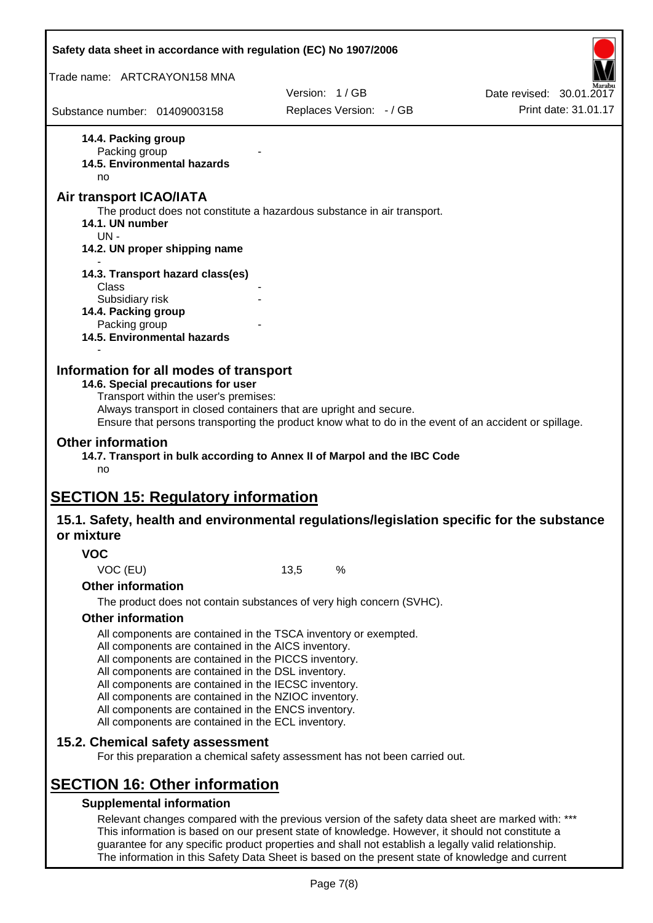| Safety data sheet in accordance with regulation (EC) No 1907/2006                                                                                                                                                                                                                                                                                                                                                                                                                             |               |                          |                                                                                                       |
|-----------------------------------------------------------------------------------------------------------------------------------------------------------------------------------------------------------------------------------------------------------------------------------------------------------------------------------------------------------------------------------------------------------------------------------------------------------------------------------------------|---------------|--------------------------|-------------------------------------------------------------------------------------------------------|
| Trade name: ARTCRAYON158 MNA                                                                                                                                                                                                                                                                                                                                                                                                                                                                  |               |                          |                                                                                                       |
|                                                                                                                                                                                                                                                                                                                                                                                                                                                                                               | Version: 1/GB |                          | Date revised: 30.01.2017                                                                              |
| Substance number: 01409003158                                                                                                                                                                                                                                                                                                                                                                                                                                                                 |               | Replaces Version: - / GB | Print date: 31.01.17                                                                                  |
| 14.4. Packing group<br>Packing group<br>14.5. Environmental hazards<br>no                                                                                                                                                                                                                                                                                                                                                                                                                     |               |                          |                                                                                                       |
| Air transport ICAO/IATA                                                                                                                                                                                                                                                                                                                                                                                                                                                                       |               |                          |                                                                                                       |
| The product does not constitute a hazardous substance in air transport.<br>14.1. UN number<br>$UN -$<br>14.2. UN proper shipping name                                                                                                                                                                                                                                                                                                                                                         |               |                          |                                                                                                       |
|                                                                                                                                                                                                                                                                                                                                                                                                                                                                                               |               |                          |                                                                                                       |
| 14.3. Transport hazard class(es)<br>Class                                                                                                                                                                                                                                                                                                                                                                                                                                                     |               |                          |                                                                                                       |
| Subsidiary risk<br>14.4. Packing group<br>Packing group                                                                                                                                                                                                                                                                                                                                                                                                                                       |               |                          |                                                                                                       |
| <b>14.5. Environmental hazards</b>                                                                                                                                                                                                                                                                                                                                                                                                                                                            |               |                          |                                                                                                       |
| Transport within the user's premises:<br>Always transport in closed containers that are upright and secure.<br><b>Other information</b><br>14.7. Transport in bulk according to Annex II of Marpol and the IBC Code<br>no                                                                                                                                                                                                                                                                     |               |                          | Ensure that persons transporting the product know what to do in the event of an accident or spillage. |
| <b>SECTION 15: Regulatory information</b><br>or mixture                                                                                                                                                                                                                                                                                                                                                                                                                                       |               |                          | 15.1. Safety, health and environmental regulations/legislation specific for the substance             |
| <b>VOC</b>                                                                                                                                                                                                                                                                                                                                                                                                                                                                                    |               |                          |                                                                                                       |
| VOC (EU)                                                                                                                                                                                                                                                                                                                                                                                                                                                                                      | 13,5          | $\%$                     |                                                                                                       |
| <b>Other information</b>                                                                                                                                                                                                                                                                                                                                                                                                                                                                      |               |                          |                                                                                                       |
| The product does not contain substances of very high concern (SVHC).                                                                                                                                                                                                                                                                                                                                                                                                                          |               |                          |                                                                                                       |
| <b>Other information</b><br>All components are contained in the TSCA inventory or exempted.<br>All components are contained in the AICS inventory.<br>All components are contained in the PICCS inventory.<br>All components are contained in the DSL inventory.<br>All components are contained in the IECSC inventory.<br>All components are contained in the NZIOC inventory.<br>All components are contained in the ENCS inventory.<br>All components are contained in the ECL inventory. |               |                          |                                                                                                       |
| 15.2. Chemical safety assessment<br>For this preparation a chemical safety assessment has not been carried out.                                                                                                                                                                                                                                                                                                                                                                               |               |                          |                                                                                                       |
| <b>SECTION 16: Other information</b><br><b>Supplemental information</b>                                                                                                                                                                                                                                                                                                                                                                                                                       |               |                          |                                                                                                       |
| This information is based on our present state of knowledge. However, it should not constitute a<br>guarantee for any specific product properties and shall not establish a legally valid relationship.                                                                                                                                                                                                                                                                                       |               |                          | Relevant changes compared with the previous version of the safety data sheet are marked with: ***     |

Page 7(8)

The information in this Safety Data Sheet is based on the present state of knowledge and current